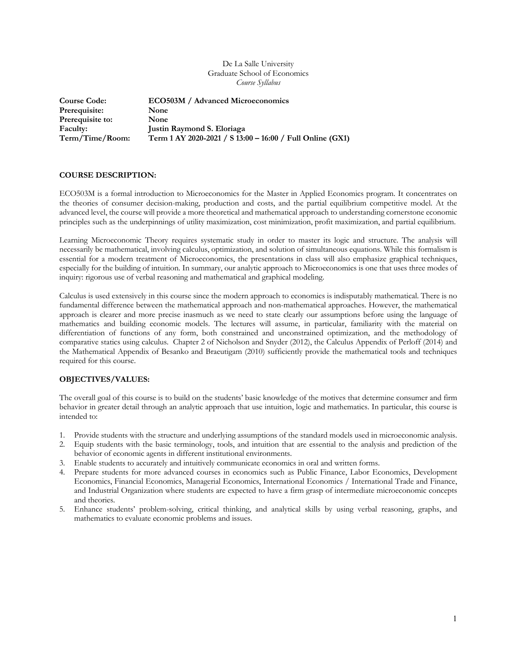#### De La Salle University Graduate School of Economics *Course Syllabus*

| <b>Course Code:</b> | <b>ECO503M</b> / Advanced Microeconomics                  |
|---------------------|-----------------------------------------------------------|
| Prerequisite:       | <b>None</b>                                               |
| Prerequisite to:    | <b>None</b>                                               |
| Faculty:            | Justin Raymond S. Eloriaga                                |
| Term/Time/Room:     | Term 1 AY 2020-2021 / S 13:00 - 16:00 / Full Online (GX1) |

#### **COURSE DESCRIPTION:**

ECO503M is a formal introduction to Microeconomics for the Master in Applied Economics program. It concentrates on the theories of consumer decision-making, production and costs, and the partial equilibrium competitive model. At the advanced level, the course will provide a more theoretical and mathematical approach to understanding cornerstone economic principles such as the underpinnings of utility maximization, cost minimization, profit maximization, and partial equilibrium.

Learning Microeconomic Theory requires systematic study in order to master its logic and structure. The analysis will necessarily be mathematical, involving calculus, optimization, and solution of simultaneous equations. While this formalism is essential for a modern treatment of Microeconomics, the presentations in class will also emphasize graphical techniques, especially for the building of intuition. In summary, our analytic approach to Microeconomics is one that uses three modes of inquiry: rigorous use of verbal reasoning and mathematical and graphical modeling.

Calculus is used extensively in this course since the modern approach to economics is indisputably mathematical. There is no fundamental difference between the mathematical approach and non-mathematical approaches. However, the mathematical approach is clearer and more precise inasmuch as we need to state clearly our assumptions before using the language of mathematics and building economic models. The lectures will assume, in particular, familiarity with the material on differentiation of functions of any form, both constrained and unconstrained optimization, and the methodology of comparative statics using calculus. Chapter 2 of Nicholson and Snyder (2012), the Calculus Appendix of Perloff (2014) and the Mathematical Appendix of Besanko and Braeutigam (2010) sufficiently provide the mathematical tools and techniques required for this course.

# **OBJECTIVES/VALUES:**

The overall goal of this course is to build on the students' basic knowledge of the motives that determine consumer and firm behavior in greater detail through an analytic approach that use intuition, logic and mathematics. In particular, this course is intended to:

- 1. Provide students with the structure and underlying assumptions of the standard models used in microeconomic analysis.
- 2. Equip students with the basic terminology, tools, and intuition that are essential to the analysis and prediction of the behavior of economic agents in different institutional environments.
- 3. Enable students to accurately and intuitively communicate economics in oral and written forms.
- 4. Prepare students for more advanced courses in economics such as Public Finance, Labor Economics, Development Economics, Financial Economics, Managerial Economics, International Economics / International Trade and Finance, and Industrial Organization where students are expected to have a firm grasp of intermediate microeconomic concepts and theories.
- 5. Enhance students' problem-solving, critical thinking, and analytical skills by using verbal reasoning, graphs, and mathematics to evaluate economic problems and issues.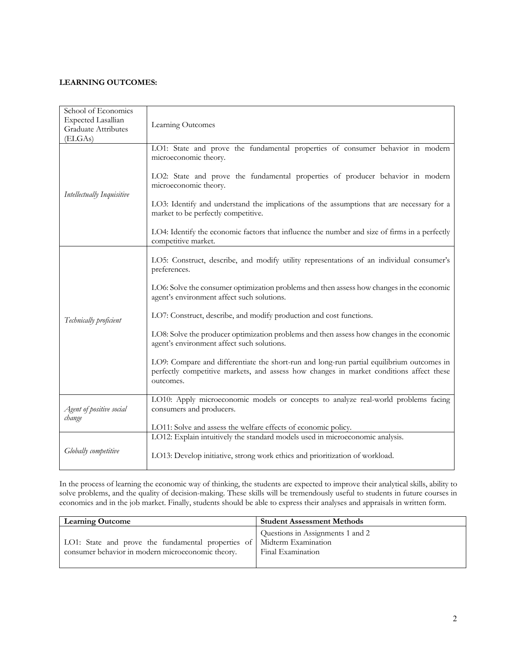# **LEARNING OUTCOMES:**

| School of Economics<br><b>Expected Lasallian</b><br>Graduate Attributes<br>(ELGAs) | Learning Outcomes                                                                                                                                                                                 |
|------------------------------------------------------------------------------------|---------------------------------------------------------------------------------------------------------------------------------------------------------------------------------------------------|
|                                                                                    | LO1: State and prove the fundamental properties of consumer behavior in modern<br>microeconomic theory.                                                                                           |
|                                                                                    | LO2: State and prove the fundamental properties of producer behavior in modern<br>microeconomic theory.                                                                                           |
| Intellectually Inquisitive                                                         | LO3: Identify and understand the implications of the assumptions that are necessary for a<br>market to be perfectly competitive.                                                                  |
|                                                                                    | LO4: Identify the economic factors that influence the number and size of firms in a perfectly<br>competitive market.                                                                              |
|                                                                                    | LO5: Construct, describe, and modify utility representations of an individual consumer's<br>preferences.                                                                                          |
|                                                                                    | LO6: Solve the consumer optimization problems and then assess how changes in the economic<br>agent's environment affect such solutions.                                                           |
| Technically proficient                                                             | LO7: Construct, describe, and modify production and cost functions.                                                                                                                               |
|                                                                                    | LO8: Solve the producer optimization problems and then assess how changes in the economic<br>agent's environment affect such solutions.                                                           |
|                                                                                    | LO9: Compare and differentiate the short-run and long-run partial equilibrium outcomes in<br>perfectly competitive markets, and assess how changes in market conditions affect these<br>outcomes. |
| Agent of positive social<br>change                                                 | LO10: Apply microeconomic models or concepts to analyze real-world problems facing<br>consumers and producers.                                                                                    |
|                                                                                    | LO11: Solve and assess the welfare effects of economic policy.                                                                                                                                    |
|                                                                                    | LO12: Explain intuitively the standard models used in microeconomic analysis.                                                                                                                     |
| Globally competitive                                                               | LO13: Develop initiative, strong work ethics and prioritization of workload.                                                                                                                      |

In the process of learning the economic way of thinking, the students are expected to improve their analytical skills, ability to solve problems, and the quality of decision-making. These skills will be tremendously useful to students in future courses in economics and in the job market. Finally, students should be able to express their analyses and appraisals in written form.

| <b>Learning Outcome</b>                                                | <b>Student Assessment Methods</b> |
|------------------------------------------------------------------------|-----------------------------------|
| LO1: State and prove the fundamental properties of Midterm Examination | Questions in Assignments 1 and 2  |
| consumer behavior in modern microeconomic theory.                      | Final Examination                 |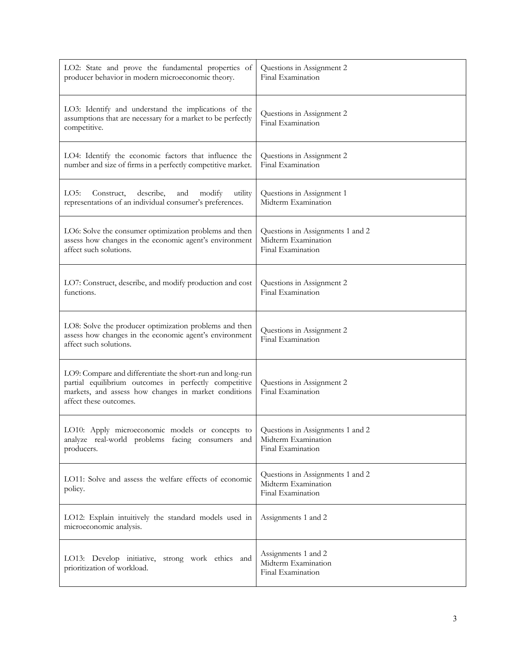| LO2: State and prove the fundamental properties of<br>producer behavior in modern microeconomic theory.                                                                                              | Questions in Assignment 2<br>Final Examination                               |
|------------------------------------------------------------------------------------------------------------------------------------------------------------------------------------------------------|------------------------------------------------------------------------------|
| LO3: Identify and understand the implications of the<br>assumptions that are necessary for a market to be perfectly<br>competitive.                                                                  | Questions in Assignment 2<br>Final Examination                               |
| LO4: Identify the economic factors that influence the<br>number and size of firms in a perfectly competitive market.                                                                                 | Questions in Assignment 2<br>Final Examination                               |
| LO5:<br>Construct,<br>describe,<br>utility<br>and<br>modify<br>representations of an individual consumer's preferences.                                                                              | Questions in Assignment 1<br>Midterm Examination                             |
| LO6: Solve the consumer optimization problems and then<br>assess how changes in the economic agent's environment<br>affect such solutions.                                                           | Questions in Assignments 1 and 2<br>Midterm Examination<br>Final Examination |
| LO7: Construct, describe, and modify production and cost<br>functions.                                                                                                                               | Questions in Assignment 2<br>Final Examination                               |
| LO8: Solve the producer optimization problems and then<br>assess how changes in the economic agent's environment<br>affect such solutions.                                                           | Questions in Assignment 2<br>Final Examination                               |
| LO9: Compare and differentiate the short-run and long-run<br>partial equilibrium outcomes in perfectly competitive<br>markets, and assess how changes in market conditions<br>affect these outcomes. | Questions in Assignment 2<br>Final Examination                               |
| LO10: Apply microeconomic models or concepts to<br>analyze real-world problems facing consumers and<br>producers.                                                                                    | Questions in Assignments 1 and 2<br>Midterm Examination<br>Final Examination |
| LO11: Solve and assess the welfare effects of economic<br>policy.                                                                                                                                    | Questions in Assignments 1 and 2<br>Midterm Examination<br>Final Examination |
| LO12: Explain intuitively the standard models used in<br>microeconomic analysis.                                                                                                                     | Assignments 1 and 2                                                          |
| LO13: Develop initiative, strong work ethics and<br>prioritization of workload.                                                                                                                      | Assignments 1 and 2<br>Midterm Examination<br>Final Examination              |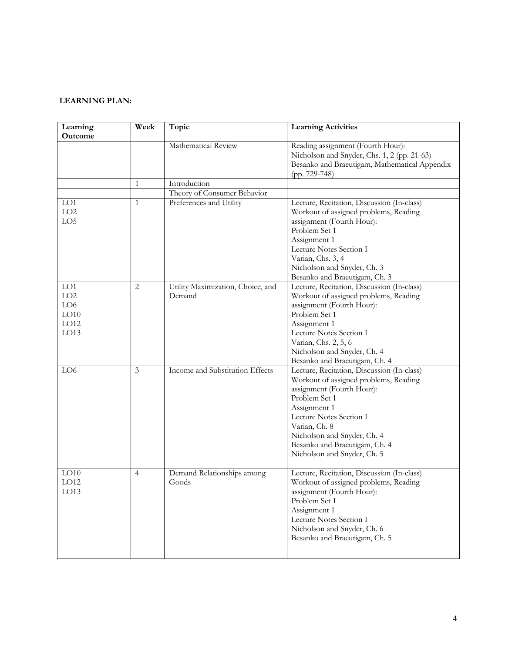# **LEARNING PLAN:**

| Learning<br><b>Outcome</b>                | Week           | Topic                                       | <b>Learning Activities</b>                                                                                                                                                                                                                                                                   |
|-------------------------------------------|----------------|---------------------------------------------|----------------------------------------------------------------------------------------------------------------------------------------------------------------------------------------------------------------------------------------------------------------------------------------------|
|                                           |                | Mathematical Review                         | Reading assignment (Fourth Hour):<br>Nicholson and Snyder, Chs. 1, 2 (pp. 21-63)<br>Besanko and Braeutigam, Mathematical Appendix<br>(pp. 729-748)                                                                                                                                           |
|                                           | $\mathbf{1}$   | Introduction                                |                                                                                                                                                                                                                                                                                              |
|                                           |                | Theory of Consumer Behavior                 |                                                                                                                                                                                                                                                                                              |
| LO1<br>LO2<br>LO <sub>5</sub>             | $\mathbf{1}$   | Preferences and Utility                     | Lecture, Recitation, Discussion (In-class)<br>Workout of assigned problems, Reading<br>assignment (Fourth Hour):<br>Problem Set 1<br>Assignment 1<br>Lecture Notes Section I<br>Varian, Chs. 3, 4<br>Nicholson and Snyder, Ch. 3<br>Besanko and Braeutigam, Ch. 3                            |
| LO1<br>LO2<br>LO6<br>LO10<br>LO12<br>LO13 | 2              | Utility Maximization, Choice, and<br>Demand | Lecture, Recitation, Discussion (In-class)<br>Workout of assigned problems, Reading<br>assignment (Fourth Hour):<br>Problem Set 1<br>Assignment 1<br>Lecture Notes Section I<br>Varian, Chs. 2, 5, 6<br>Nicholson and Snyder, Ch. 4<br>Besanko and Braeutigam, Ch. 4                         |
| LO <sub>6</sub>                           | 3              | Income and Substitution Effects             | Lecture, Recitation, Discussion (In-class)<br>Workout of assigned problems, Reading<br>assignment (Fourth Hour):<br>Problem Set 1<br>Assignment 1<br>Lecture Notes Section I<br>Varian, Ch. 8<br>Nicholson and Snyder, Ch. 4<br>Besanko and Braeutigam, Ch. 4<br>Nicholson and Snyder, Ch. 5 |
| LO10<br>LO12<br>LO13                      | $\overline{4}$ | Demand Relationships among<br>Goods         | Lecture, Recitation, Discussion (In-class)<br>Workout of assigned problems, Reading<br>assignment (Fourth Hour):<br>Problem Set 1<br>Assignment 1<br>Lecture Notes Section I<br>Nicholson and Snyder, Ch. 6<br>Besanko and Braeutigam, Ch. 5                                                 |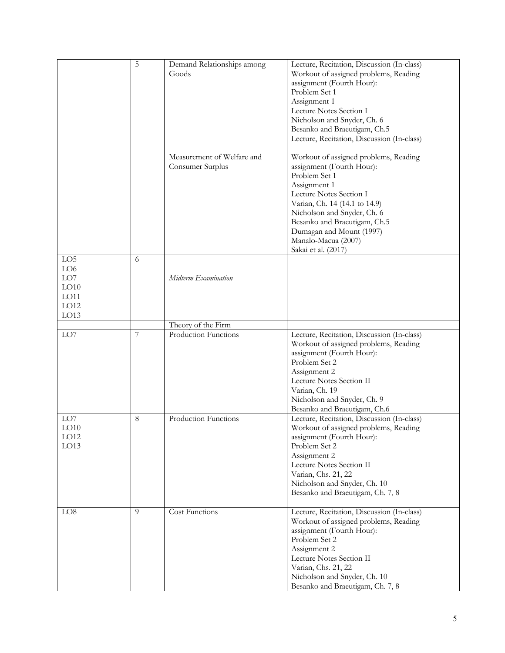|                  | 5              |                            |                                                                  |
|------------------|----------------|----------------------------|------------------------------------------------------------------|
|                  |                | Demand Relationships among | Lecture, Recitation, Discussion (In-class)                       |
|                  |                | Goods                      | Workout of assigned problems, Reading                            |
|                  |                |                            | assignment (Fourth Hour):                                        |
|                  |                |                            |                                                                  |
|                  |                |                            | Problem Set 1                                                    |
|                  |                |                            | Assignment 1                                                     |
|                  |                |                            | Lecture Notes Section I                                          |
|                  |                |                            |                                                                  |
|                  |                |                            | Nicholson and Snyder, Ch. 6                                      |
|                  |                |                            | Besanko and Braeutigam, Ch.5                                     |
|                  |                |                            | Lecture, Recitation, Discussion (In-class)                       |
|                  |                |                            |                                                                  |
|                  |                |                            |                                                                  |
|                  |                | Measurement of Welfare and | Workout of assigned problems, Reading                            |
|                  |                | Consumer Surplus           | assignment (Fourth Hour):                                        |
|                  |                |                            | Problem Set 1                                                    |
|                  |                |                            |                                                                  |
|                  |                |                            | Assignment 1                                                     |
|                  |                |                            | Lecture Notes Section I                                          |
|                  |                |                            | Varian, Ch. 14 (14.1 to 14.9)                                    |
|                  |                |                            |                                                                  |
|                  |                |                            | Nicholson and Snyder, Ch. 6                                      |
|                  |                |                            | Besanko and Braeutigam, Ch.5                                     |
|                  |                |                            | Dumagan and Mount (1997)                                         |
|                  |                |                            |                                                                  |
|                  |                |                            | Manalo-Macua (2007)                                              |
|                  |                |                            | Sakai et al. (2017)                                              |
| LO <sub>5</sub>  | 6              |                            |                                                                  |
| LO <sub>6</sub>  |                |                            |                                                                  |
|                  |                |                            |                                                                  |
| LO7              |                | Midterm Examination        |                                                                  |
| LO10             |                |                            |                                                                  |
| LO11             |                |                            |                                                                  |
|                  |                |                            |                                                                  |
| LO12             |                |                            |                                                                  |
| LO13             |                |                            |                                                                  |
|                  |                | Theory of the Firm         |                                                                  |
| LO7              | 7              | Production Functions       | Lecture, Recitation, Discussion (In-class)                       |
|                  |                |                            |                                                                  |
|                  |                |                            | Workout of assigned problems, Reading                            |
|                  |                |                            | assignment (Fourth Hour):                                        |
|                  |                |                            | Problem Set 2                                                    |
|                  |                |                            |                                                                  |
|                  |                |                            | Assignment 2                                                     |
|                  |                |                            | Lecture Notes Section II                                         |
|                  |                |                            | Varian, Ch. 19                                                   |
|                  |                |                            |                                                                  |
|                  |                |                            | Nicholson and Snyder, Ch. 9                                      |
|                  |                |                            | Besanko and Braeutigam, Ch.6                                     |
|                  | 8              |                            |                                                                  |
| LO7              |                | Production Functions       | Lecture, Recitation, Discussion (In-class)                       |
| LO10             |                |                            | Workout of assigned problems, Reading                            |
| LO <sub>12</sub> |                |                            | assignment (Fourth Hour):                                        |
|                  |                |                            |                                                                  |
| LO13             |                |                            | Problem Set 2                                                    |
|                  |                |                            | Assignment 2                                                     |
|                  |                |                            | Lecture Notes Section II                                         |
|                  |                |                            | Varian, Chs. 21, 22                                              |
|                  |                |                            |                                                                  |
|                  |                |                            | Nicholson and Snyder, Ch. 10                                     |
|                  |                |                            | Besanko and Braeutigam, Ch. 7, 8                                 |
|                  |                |                            |                                                                  |
| LO8              | $\overline{Q}$ | Cost Functions             | Lecture, Recitation, Discussion (In-class)                       |
|                  |                |                            |                                                                  |
|                  |                |                            | Workout of assigned problems, Reading                            |
|                  |                |                            | assignment (Fourth Hour):                                        |
|                  |                |                            |                                                                  |
|                  |                |                            |                                                                  |
|                  |                |                            | Problem Set 2                                                    |
|                  |                |                            | Assignment 2                                                     |
|                  |                |                            |                                                                  |
|                  |                |                            | Lecture Notes Section II                                         |
|                  |                |                            | Varian, Chs. 21, 22                                              |
|                  |                |                            | Nicholson and Snyder, Ch. 10<br>Besanko and Braeutigam, Ch. 7, 8 |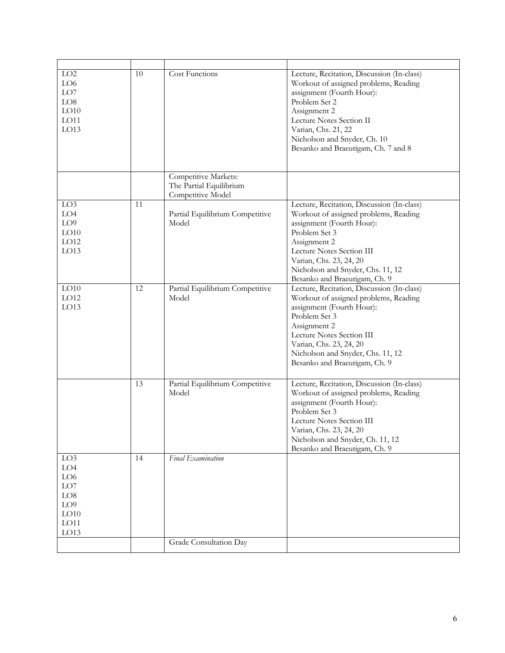| $\rm LO2$<br>LO6<br>LO7<br>LO8<br>LO10<br>LO11<br>LO13                                     | 10 | Cost Functions                                                       | Lecture, Recitation, Discussion (In-class)<br>Workout of assigned problems, Reading<br>assignment (Fourth Hour):<br>Problem Set 2<br>Assignment 2<br>Lecture Notes Section II<br>Varian, Chs. 21, 22<br>Nicholson and Snyder, Ch. 10<br>Besanko and Braeutigam, Ch. 7 and 8     |
|--------------------------------------------------------------------------------------------|----|----------------------------------------------------------------------|---------------------------------------------------------------------------------------------------------------------------------------------------------------------------------------------------------------------------------------------------------------------------------|
|                                                                                            |    | Competitive Markets:<br>The Partial Equilibrium<br>Competitive Model |                                                                                                                                                                                                                                                                                 |
| LO <sub>3</sub><br>LO4<br>LO <sub>9</sub><br>LO10<br>LO12<br>LO13                          | 11 | Partial Equilibrium Competitive<br>Model                             | Lecture, Recitation, Discussion (In-class)<br>Workout of assigned problems, Reading<br>assignment (Fourth Hour):<br>Problem Set 3<br>Assignment 2<br>Lecture Notes Section III<br>Varian, Chs. 23, 24, 20<br>Nicholson and Snyder, Chs. 11, 12<br>Besanko and Braeutigam, Ch. 9 |
| LO10<br>LO12<br>LO13                                                                       | 12 | Partial Equilibrium Competitive<br>Model                             | Lecture, Recitation, Discussion (In-class)<br>Workout of assigned problems, Reading<br>assignment (Fourth Hour):<br>Problem Set 3<br>Assignment 2<br>Lecture Notes Section III<br>Varian, Chs. 23, 24, 20<br>Nicholson and Snyder, Chs. 11, 12<br>Besanko and Braeutigam, Ch. 9 |
|                                                                                            | 13 | Partial Equilibrium Competitive<br>Model                             | Lecture, Recitation, Discussion (In-class)<br>Workout of assigned problems, Reading<br>assignment (Fourth Hour):<br>Problem Set 3<br>Lecture Notes Section III<br>Varian, Chs. 23, 24, 20<br>Nicholson and Snyder, Ch. 11, 12<br>Besanko and Braeutigam, Ch. 9                  |
| LO3<br>LO4<br>LO6<br>${\rm LO7}$<br>${\rm LO}8$<br>LO <sub>9</sub><br>LO10<br>LO11<br>LO13 | 14 | Final Examination<br>Grade Consultation Day                          |                                                                                                                                                                                                                                                                                 |
|                                                                                            |    |                                                                      |                                                                                                                                                                                                                                                                                 |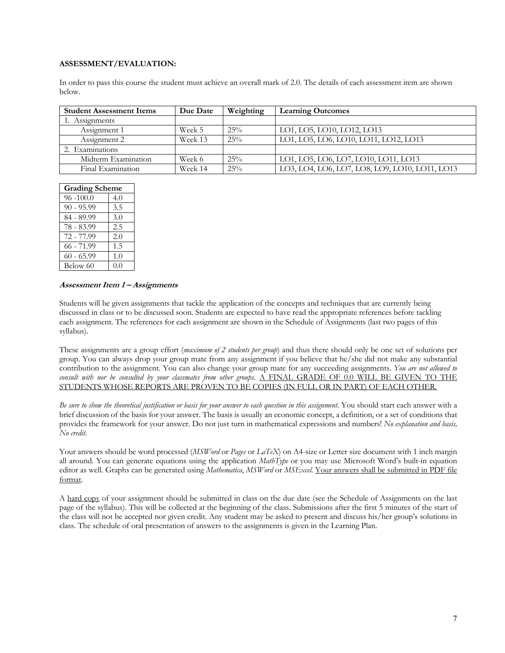## **ASSESSMENT/EVALUATION:**

In order to pass this course the student must achieve an overall mark of 2.0. The details of each assessment item are shown below.

| <b>Student Assessment Items</b> | Due Date | Weighting | <b>Learning Outcomes</b>                       |
|---------------------------------|----------|-----------|------------------------------------------------|
| 1. Assignments                  |          |           |                                                |
| Assignment 1                    | Week 5   | 25%       | LO1, LO5, LO10, LO12, LO13                     |
| Assignment 2                    | Week 13  | 25%       | LO1, LO5, LO6, LO10, LO11, LO12, LO13          |
| 2. Examinations                 |          |           |                                                |
| Midterm Examination             | Week 6   | 25%       | LO1, LO5, LO6, LO7, LO10, LO11, LO13           |
| Final Examination               | Week 14  | 25%       | LO3, LO4, LO6, LO7, LO8, LO9, LO10, LO11, LO13 |

| <b>Grading Scheme</b> |     |
|-----------------------|-----|
| $96 - 100.0$          | 4.0 |
| $90 - 95.99$          | 3.5 |
| 84 - 89.99            | 3.0 |
| 78 - 83.99            | 2.5 |
| 72 - 77.99            | 2.0 |
| $66 - 71.99$          | 1.5 |
| $60 - 65.99$          | 1.0 |
| Below 60              | 0.0 |

#### **Assessment Item 1 – Assignments**

Students will be given assignments that tackle the application of the concepts and techniques that are currently being discussed in class or to be discussed soon. Students are expected to have read the appropriate references before tackling each assignment. The references for each assignment are shown in the Schedule of Assignments (last two pages of this syllabus).

These assignments are a group effort (*maximum of 2 students per group*) and thus there should only be one set of solutions per group. You can always drop your group mate from any assignment if you believe that he/she did not make any substantial contribution to the assignment. You can also change your group mate for any succeeding assignments. *You are not allowed to consult with nor be consulted by your classmates from other groups*. A FINAL GRADE OF 0.0 WILL BE GIVEN TO THE STUDENTS WHOSE REPORTS ARE PROVEN TO BE COPIES (IN FULL OR IN PART) OF EACH OTHER.

*Be sure to show the theoretical justification or basis for your answer to each question in this assignment.* You should start each answer with a brief discussion of the basis for your answer. The basis is usually an economic concept, a definition, or a set of conditions that provides the framework for your answer. Do not just turn in mathematical expressions and numbers! *No explanation and basis, No credit*.

Your answers should be word processed (*MSWord* or *Pages* or *LaTeX*) on A4-size or Letter size document with 1 inch margin all around. You can generate equations using the application *MathType* or you may use Microsoft Word's built-in equation editor as well. Graphs can be generated using *Mathematica*, *MSWord* or *MSExcel*. Your answers shall be submitted in PDF file format.

A hard copy of your assignment should be submitted in class on the due date (see the Schedule of Assignments on the last page of the syllabus). This will be collected at the beginning of the class. Submissions after the first 5 minutes of the start of the class will not be accepted nor given credit. Any student may be asked to present and discuss his/her group's solutions in class. The schedule of oral presentation of answers to the assignments is given in the Learning Plan.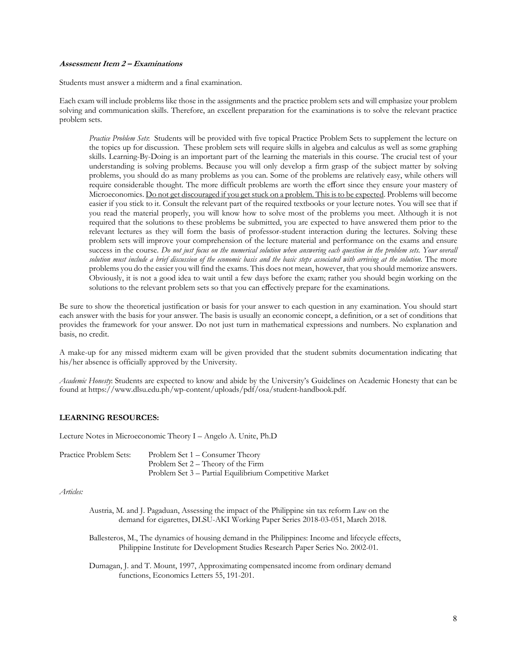## **Assessment Item 2 – Examinations**

Students must answer a midterm and a final examination.

Each exam will include problems like those in the assignments and the practice problem sets and will emphasize your problem solving and communication skills. Therefore, an excellent preparation for the examinations is to solve the relevant practice problem sets.

*Practice Problem Sets*: Students will be provided with five topical Practice Problem Sets to supplement the lecture on the topics up for discussion. These problem sets will require skills in algebra and calculus as well as some graphing skills. Learning-By-Doing is an important part of the learning the materials in this course. The crucial test of your understanding is solving problems. Because you will only develop a firm grasp of the subject matter by solving problems, you should do as many problems as you can. Some of the problems are relatively easy, while others will require considerable thought. The more difficult problems are worth the effort since they ensure your mastery of Microeconomics. Do not get discouraged if you get stuck on a problem. This is to be expected. Problems will become easier if you stick to it. Consult the relevant part of the required textbooks or your lecture notes. You will see that if you read the material properly, you will know how to solve most of the problems you meet. Although it is not required that the solutions to these problems be submitted, you are expected to have answered them prior to the relevant lectures as they will form the basis of professor-student interaction during the lectures. Solving these problem sets will improve your comprehension of the lecture material and performance on the exams and ensure success in the course. *Do not just focus on the numerical solution when answering each question in the problem sets. Your overall solution must include a brief discussion of the economic basis and the basic steps associated with arriving at the solution*. The more problems you do the easier you will find the exams. This does not mean, however, that you should memorize answers. Obviously, it is not a good idea to wait until a few days before the exam; rather you should begin working on the solutions to the relevant problem sets so that you can effectively prepare for the examinations.

Be sure to show the theoretical justification or basis for your answer to each question in any examination. You should start each answer with the basis for your answer. The basis is usually an economic concept, a definition, or a set of conditions that provides the framework for your answer. Do not just turn in mathematical expressions and numbers. No explanation and basis, no credit.

A make-up for any missed midterm exam will be given provided that the student submits documentation indicating that his/her absence is officially approved by the University.

*Academic Honesty*: Students are expected to know and abide by the University's Guidelines on Academic Honesty that can be found at https://www.dlsu.edu.ph/wp-content/uploads/pdf/osa/student-handbook.pdf.

# **LEARNING RESOURCES:**

Lecture Notes in Microeconomic Theory I – Angelo A. Unite, Ph.D

| Practice Problem Sets: | Problem Set 1 – Consumer Theory                        |
|------------------------|--------------------------------------------------------|
|                        | Problem Set $2 -$ Theory of the Firm                   |
|                        | Problem Set 3 – Partial Equilibrium Competitive Market |

#### *Articles:*

- Austria, M. and J. Pagaduan, Assessing the impact of the Philippine sin tax reform Law on the demand for cigarettes, DLSU-AKI Working Paper Series 2018-03-051, March 2018.
- Ballesteros, M., The dynamics of housing demand in the Philippines: Income and lifecycle effects, Philippine Institute for Development Studies Research Paper Series No. 2002-01.
- Dumagan, J. and T. Mount, 1997, Approximating compensated income from ordinary demand functions, Economics Letters 55, 191-201.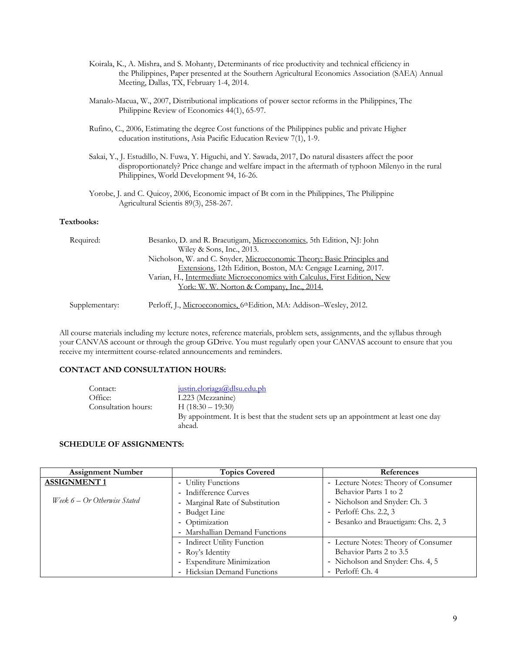- Koirala, K., A. Mishra, and S. Mohanty, Determinants of rice productivity and technical efficiency in the Philippines, Paper presented at the Southern Agricultural Economics Association (SAEA) Annual Meeting, Dallas, TX, February 1-4, 2014.
- Manalo-Macua, W., 2007, Distributional implications of power sector reforms in the Philippines, The Philippine Review of Economics 44(1), 65-97.
- Rufino, C., 2006, Estimating the degree Cost functions of the Philippines public and private Higher education institutions, Asia Pacific Education Review 7(1), 1-9.
- Sakai, Y., J. Estudillo, N. Fuwa, Y. Higuchi, and Y. Sawada, 2017, Do natural disasters affect the poor disproportionately? Price change and welfare impact in the aftermath of typhoon Milenyo in the rural Philippines, World Development 94, 16-26.
- Yorobe, J. and C. Quicoy, 2006, Economic impact of Bt corn in the Philippines, The Philippine Agricultural Scientis 89(3), 258-267.

## **Textbooks:**

| Required:      | Besanko, D. and R. Braeutigam, Microeconomics, 5th Edition, NJ: John            |
|----------------|---------------------------------------------------------------------------------|
|                | Wiley & Sons, Inc., 2013.                                                       |
|                | Nicholson, W. and C. Snyder, Microeconomic Theory: Basic Principles and         |
|                | Extensions, 12th Edition, Boston, MA: Cengage Learning, 2017.                   |
|                | Varian, H., Intermediate Microeconomics with Calculus, First Edition, New       |
|                | <u>York: W. W. Norton &amp; Company, Inc., 2014.</u>                            |
|                |                                                                                 |
| Supplementary: | Perloff, J., Microeconomics, 6 <sup>th</sup> Edition, MA: Addison-Wesley, 2012. |

All course materials including my lecture notes, reference materials, problem sets, assignments, and the syllabus through your CANVAS account or through the group GDrive. You must regularly open your CANVAS account to ensure that you receive my intermittent course-related announcements and reminders.

#### **CONTACT AND CONSULTATION HOURS:**

| Contact:            | justin.eloriaga@dlsu.edu.ph                                                         |
|---------------------|-------------------------------------------------------------------------------------|
| Office:             | L223 (Mezzanine)                                                                    |
| Consultation hours: | H $(18:30 - 19:30)$                                                                 |
|                     | By appointment. It is best that the student sets up an appointment at least one day |
|                     | ahead.                                                                              |

#### **SCHEDULE OF ASSIGNMENTS:**

| <b>Assignment Number</b>       | <b>Topics Covered</b>           | References                          |
|--------------------------------|---------------------------------|-------------------------------------|
| <b>ASSIGNMENT1</b>             | - Utility Functions             | - Lecture Notes: Theory of Consumer |
|                                | - Indifference Curves           | Behavior Parts 1 to 2               |
| Week $6 - Or$ Otherwise Stated | - Marginal Rate of Substitution | - Nicholson and Snyder: Ch. 3       |
|                                | - Budget Line                   | - Perloff: Chs. 2.2, 3              |
|                                | - Optimization                  | - Besanko and Brauetigam: Chs. 2, 3 |
|                                | - Marshallian Demand Functions  |                                     |
|                                | - Indirect Utility Function     | - Lecture Notes: Theory of Consumer |
|                                | - Roy's Identity                | Behavior Parts 2 to 3.5             |
|                                | - Expenditure Minimization      | - Nicholson and Snyder: Chs. 4, 5   |
|                                | - Hicksian Demand Functions     | - Perloff: Ch. 4                    |